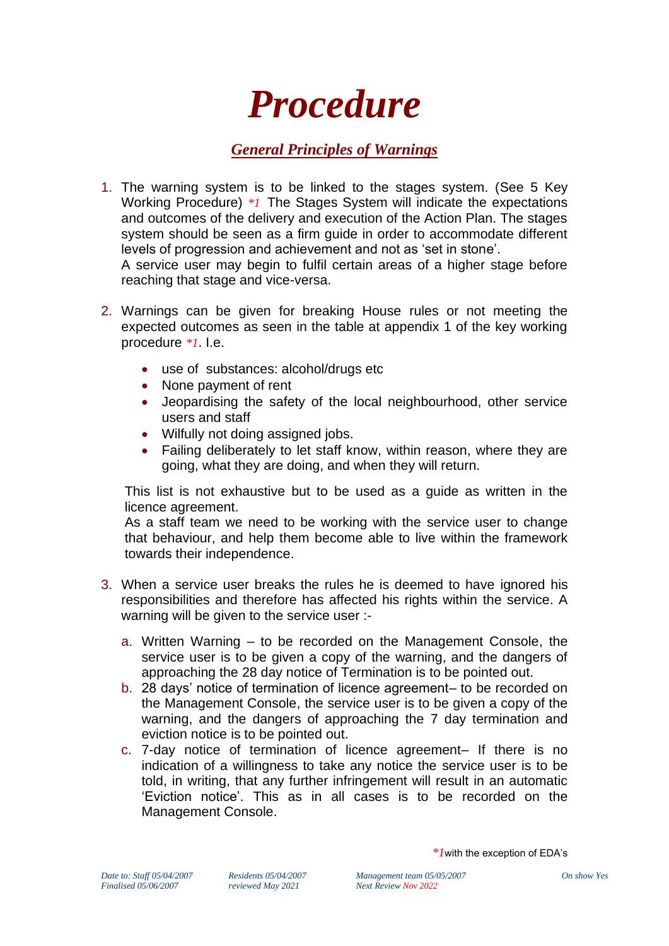## *Procedure*

## *General Principles of Warnings*

- 1. The warning system is to be linked to the stages system. (See 5 Key Working Procedure) *\*1* The Stages System will indicate the expectations and outcomes of the delivery and execution of the Action Plan. The stages system should be seen as a firm guide in order to accommodate different levels of progression and achievement and not as 'set in stone'. A service user may begin to fulfil certain areas of a higher stage before reaching that stage and vice-versa.
- 2. Warnings can be given for breaking House rules or not meeting the expected outcomes as seen in the table at appendix 1 of the key working procedure *\*1*. I.e.
	- use of substances: alcohol/drugs etc
	- None payment of rent
	- Jeopardising the safety of the local neighbourhood, other service users and staff
	- Wilfully not doing assigned jobs.
	- Failing deliberately to let staff know, within reason, where they are going, what they are doing, and when they will return.

This list is not exhaustive but to be used as a guide as written in the licence agreement.

As a staff team we need to be working with the service user to change that behaviour, and help them become able to live within the framework towards their independence.

- 3. When a service user breaks the rules he is deemed to have ignored his responsibilities and therefore has affected his rights within the service. A warning will be given to the service user :
	- a. Written Warning to be recorded on the Management Console, the service user is to be given a copy of the warning, and the dangers of approaching the 28 day notice of Termination is to be pointed out.
	- b. 28 days' notice of termination of licence agreement– to be recorded on the Management Console, the service user is to be given a copy of the warning, and the dangers of approaching the 7 day termination and eviction notice is to be pointed out.
	- c. 7-day notice of termination of licence agreement– If there is no indication of a willingness to take any notice the service user is to be told, in writing, that any further infringement will result in an automatic 'Eviction notice'. This as in all cases is to be recorded on the Management Console.